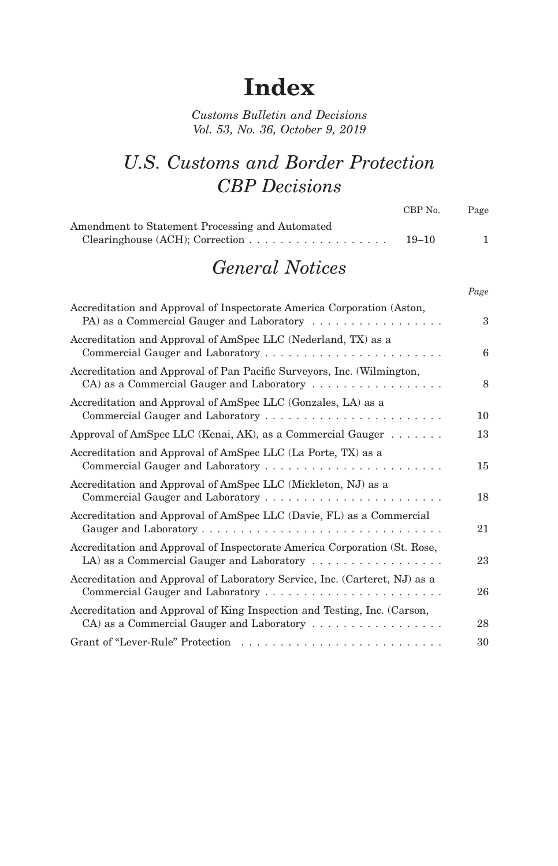## **Index**

*Customs Bulletin and Decisions Vol. 53, No. 36, October 9, 2019*

## *U.S. Customs and Border Protection CBP Decisions*

|                                                 | CBP No.   | Page |
|-------------------------------------------------|-----------|------|
| Amendment to Statement Processing and Automated |           |      |
|                                                 | $19 - 10$ |      |

## *General Notices*

*Page*

| Accreditation and Approval of Inspectorate America Corporation (Aston,<br>PA) as a Commercial Gauger and Laboratory                                          | 3  |
|--------------------------------------------------------------------------------------------------------------------------------------------------------------|----|
| Accreditation and Approval of AmSpec LLC (Nederland, TX) as a                                                                                                | 6  |
| Accreditation and Approval of Pan Pacific Surveyors, Inc. (Wilmington,<br>CA) as a Commercial Gauger and Laboratory                                          | 8  |
| Accreditation and Approval of AmSpec LLC (Gonzales, LA) as a                                                                                                 | 10 |
| Approval of AmSpec LLC (Kenai, AK), as a Commercial Gauger $\dots \dots$                                                                                     | 13 |
| Accreditation and Approval of AmSpec LLC (La Porte, TX) as a                                                                                                 | 15 |
| Accreditation and Approval of AmSpec LLC (Mickleton, NJ) as a                                                                                                | 18 |
| Accreditation and Approval of AmSpec LLC (Davie, FL) as a Commercial                                                                                         | 21 |
| Accreditation and Approval of Inspectorate America Corporation (St. Rose,<br>LA) as a Commercial Gauger and Laboratory $\dots \dots \dots \dots \dots \dots$ | 23 |
| Accreditation and Approval of Laboratory Service, Inc. (Carteret, NJ) as a                                                                                   | 26 |
| Accreditation and Approval of King Inspection and Testing, Inc. (Carson,<br>CA) as a Commercial Gauger and Laboratory                                        | 28 |
|                                                                                                                                                              | 30 |